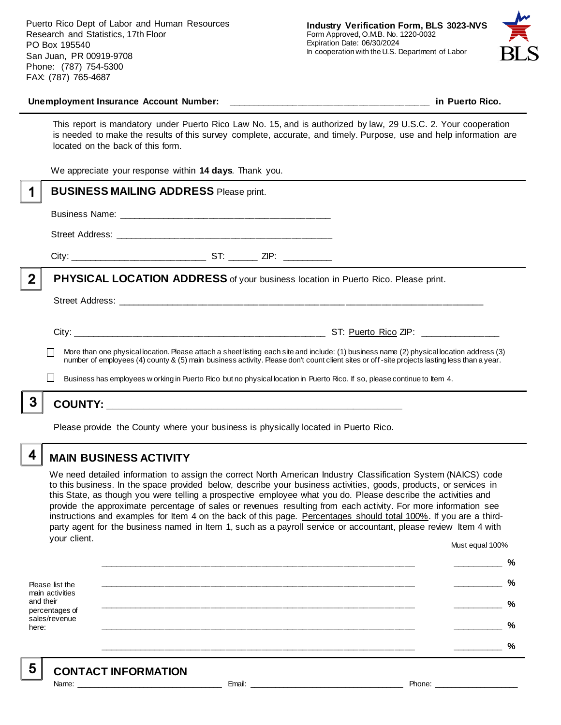

#### **Unemployment Insurance Account Number: \_\_\_\_\_\_\_\_\_\_\_\_\_\_\_\_\_\_\_\_\_\_\_\_\_\_\_\_\_\_\_\_\_\_\_\_\_\_\_\_ in Puerto Rico.**

This report is mandatory under Puerto Rico Law No. 15, and is authorized by law, 29 U.S.C. 2. Your cooperation is needed to make the results of this survey complete, accurate, and timely. Purpose, use and help information are located on the back of this form.

We appreciate your response within **14 days**. Thank you.

|                | <b>BUSINESS MAILING ADDRESS Please print.</b>                                                                                                                                                                                                                                                                                                                                                                         |  |  |  |
|----------------|-----------------------------------------------------------------------------------------------------------------------------------------------------------------------------------------------------------------------------------------------------------------------------------------------------------------------------------------------------------------------------------------------------------------------|--|--|--|
|                |                                                                                                                                                                                                                                                                                                                                                                                                                       |  |  |  |
|                |                                                                                                                                                                                                                                                                                                                                                                                                                       |  |  |  |
|                |                                                                                                                                                                                                                                                                                                                                                                                                                       |  |  |  |
| $\overline{2}$ | <b>PHYSICAL LOCATION ADDRESS</b> of your business location in Puerto Rico. Please print.                                                                                                                                                                                                                                                                                                                              |  |  |  |
|                |                                                                                                                                                                                                                                                                                                                                                                                                                       |  |  |  |
|                | More than one physical location. Please attach a sheet listing each site and include: (1) business name (2) physical location address (3)<br>number of employees (4) county & (5) main business activity. Please don't count client sites or off-site projects lasting less than a year.<br>Business has employees w orking in Puerto Rico but no physical location in Puerto Rico. If so, please continue to Item 4. |  |  |  |
| 3              |                                                                                                                                                                                                                                                                                                                                                                                                                       |  |  |  |
|                | Please provide the County where your business is physically located in Puerto Rico.                                                                                                                                                                                                                                                                                                                                   |  |  |  |

**MAIN BUSINESS ACTIVITY**

We need detailed information to assign the correct North American Industry Classification System (NAICS) code to this business. In the space provided below, describe your business activities, goods, products, or services in this State, as though you were telling a prospective employee what you do. Please describe the activities and provide the approximate percentage of sales or revenues resulting from each activity. For more information see instructions and examples for Item 4 on the back of this page. Percentages should total 100%. If you are a thirdparty agent for the business named in Item 1, such as a payroll service or accountant, please review Item 4 with your client. Must equal 100%

Please list the main activities and their percentages of sales/revenue here: **\_\_\_\_\_\_\_\_\_\_\_\_\_\_\_\_\_\_\_\_\_\_\_\_\_\_\_\_\_\_\_\_\_\_\_\_\_\_\_\_\_\_\_\_\_\_\_\_\_\_\_\_\_\_\_\_\_\_\_\_\_\_ \_\_\_\_\_\_\_\_\_\_ % \_\_\_\_\_\_\_\_\_\_\_\_\_\_\_\_\_\_\_\_\_\_\_\_\_\_\_\_\_\_\_\_\_\_\_\_\_\_\_\_\_\_\_\_\_\_\_\_\_\_\_\_\_\_\_\_\_\_\_\_\_\_ \_\_\_\_\_\_\_\_\_\_ % \_\_\_\_\_\_\_\_\_\_\_\_\_\_\_\_\_\_\_\_\_\_\_\_\_\_\_\_\_\_\_\_\_\_\_\_\_\_\_\_\_\_\_\_\_\_\_\_\_\_\_\_\_\_\_\_\_\_\_\_\_\_ \_\_\_\_\_\_\_\_\_\_ % \_\_\_\_\_\_\_\_\_\_\_\_\_\_\_\_\_\_\_\_\_\_\_\_\_\_\_\_\_\_\_\_\_\_\_\_\_\_\_\_\_\_\_\_\_\_\_\_\_\_\_\_\_\_\_\_\_\_\_\_\_\_ \_\_\_\_\_\_\_\_\_\_ % \_\_\_\_\_\_\_\_\_\_\_\_\_\_\_\_\_\_\_\_\_\_\_\_\_\_\_\_\_\_\_\_\_\_\_\_\_\_\_\_\_\_\_\_\_\_\_\_\_\_\_\_\_\_\_\_\_\_\_\_\_\_ \_\_\_\_\_\_\_\_\_\_ %**

5

4